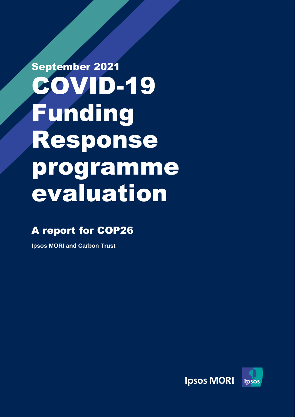# September 2021 COVID-19 Funding Response programme evaluation

### A report for COP26

**Ipsos MORI and Carbon Trust**

Ipsos Mori | 2010489701 COP26 report\_d2V2\_clean\_

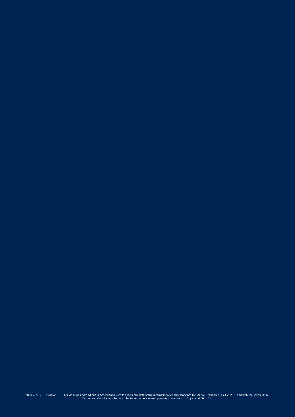160 20-104897-01 | Version 1 || This work was carried out in accordance with the requirements of the international quality standard for Market Research, ISO 20252, and with the Ipsos MORI<br>Terms and Conditions which can be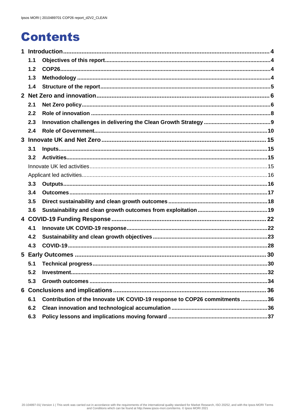### **Contents**

|              | 1.1 |                                                                           |  |  |
|--------------|-----|---------------------------------------------------------------------------|--|--|
|              | 1.2 |                                                                           |  |  |
|              | 1.3 |                                                                           |  |  |
|              | 1.4 |                                                                           |  |  |
|              |     |                                                                           |  |  |
|              | 2.1 |                                                                           |  |  |
|              | 2.2 |                                                                           |  |  |
|              | 2.3 |                                                                           |  |  |
|              | 2.4 |                                                                           |  |  |
| $\mathbf{3}$ |     |                                                                           |  |  |
|              | 3.1 |                                                                           |  |  |
|              | 3.2 |                                                                           |  |  |
|              |     |                                                                           |  |  |
|              |     |                                                                           |  |  |
|              | 3.3 |                                                                           |  |  |
|              | 3.4 |                                                                           |  |  |
|              | 3.5 |                                                                           |  |  |
|              | 3.6 |                                                                           |  |  |
|              |     |                                                                           |  |  |
|              | 4.1 |                                                                           |  |  |
|              | 4.2 |                                                                           |  |  |
|              | 4.3 |                                                                           |  |  |
|              |     |                                                                           |  |  |
|              | 5.1 |                                                                           |  |  |
|              | 5.2 |                                                                           |  |  |
|              | 5.3 |                                                                           |  |  |
|              |     |                                                                           |  |  |
|              | 6.1 | Contribution of the Innovate UK COVID-19 response to COP26 commitments 36 |  |  |
|              | 6.2 |                                                                           |  |  |
|              | 6.3 |                                                                           |  |  |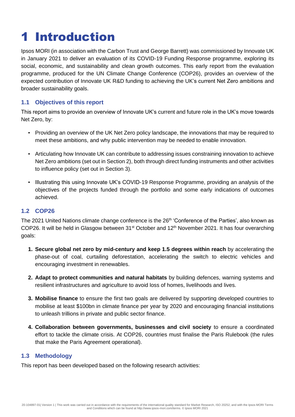### <span id="page-3-0"></span>1 Introduction

Ipsos MORI (in association with the Carbon Trust and George Barrett) was commissioned by Innovate UK in January 2021 to deliver an evaluation of its COVID-19 Funding Response programme, exploring its social, economic, and sustainability and clean growth outcomes. This early report from the evaluation programme, produced for the UN Climate Change Conference (COP26), provides an overview of the expected contribution of Innovate UK R&D funding to achieving the UK's current Net Zero ambitions and broader sustainability goals.

### <span id="page-3-1"></span>**1.1 Objectives of this report**

This report aims to provide an overview of Innovate UK's current and future role in the UK's move towards Net Zero, by:

- Providing an overview of the UK Net Zero policy landscape, the innovations that may be required to meet these ambitions, and why public intervention may be needed to enable innovation.
- Articulating how Innovate UK can contribute to addressing issues constraining innovation to achieve Net Zero ambitions (set out in Section 2), both through direct funding instruments and other activities to influence policy (set out in Section 3).
- Illustrating this using Innovate UK's COVID-19 Response Programme, providing an analysis of the objectives of the projects funded through the portfolio and some early indications of outcomes achieved.

### <span id="page-3-2"></span>**1.2 COP26**

The 2021 United Nations climate change conference is the 26<sup>th</sup> 'Conference of the Parties', also known as COP26. It will be held in Glasgow between 31<sup>st</sup> October and 12<sup>th</sup> November 2021. It has four overarching goals:

- **1. Secure global net zero by mid-century and keep 1.5 degrees within reach** by accelerating the phase-out of coal, curtailing deforestation, accelerating the switch to electric vehicles and encouraging investment in renewables.
- **2. Adapt to protect communities and natural habitats** by building defences, warning systems and resilient infrastructures and agriculture to avoid loss of homes, livelihoods and lives.
- **3. Mobilise finance** to ensure the first two goals are delivered by supporting developed countries to mobilise at least \$100bn in climate finance per year by 2020 and encouraging financial institutions to unleash trillions in private and public sector finance.
- **4. Collaboration between governments, businesses and civil society** to ensure a coordinated effort to tackle the climate crisis. At COP26, countries must finalise the Paris Rulebook (the rules that make the Paris Agreement operational).

### <span id="page-3-3"></span>**1.3 Methodology**

This report has been developed based on the following research activities: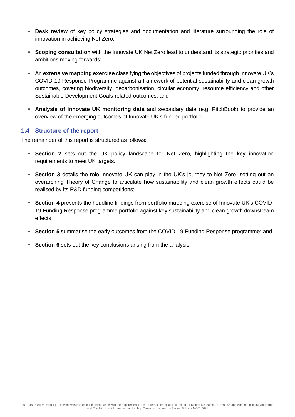- **Desk review** of key policy strategies and documentation and literature surrounding the role of innovation in achieving Net Zero;
- **Scoping consultation** with the Innovate UK Net Zero lead to understand its strategic priorities and ambitions moving forwards;
- An **extensive mapping exercise** classifying the objectives of projects funded through Innovate UK's COVID-19 Response Programme against a framework of potential sustainability and clean growth outcomes, covering biodiversity, decarbonisation, circular economy, resource efficiency and other Sustainable Development Goals-related outcomes; and
- **Analysis of Innovate UK monitoring data** and secondary data (e.g. PitchBook) to provide an overview of the emerging outcomes of Innovate UK's funded portfolio.

### <span id="page-4-0"></span>**1.4 Structure of the report**

The remainder of this report is structured as follows:

- **Section 2** sets out the UK policy landscape for Net Zero, highlighting the key innovation requirements to meet UK targets.
- **Section 3** details the role Innovate UK can play in the UK's journey to Net Zero, setting out an overarching Theory of Change to articulate how sustainability and clean growth effects could be realised by its R&D funding competitions;
- **Section 4** presents the headline findings from portfolio mapping exercise of Innovate UK's COVID-19 Funding Response programme portfolio against key sustainability and clean growth downstream effects;
- **Section 5** summarise the early outcomes from the COVID-19 Funding Response programme; and
- **Section 6** sets out the key conclusions arising from the analysis.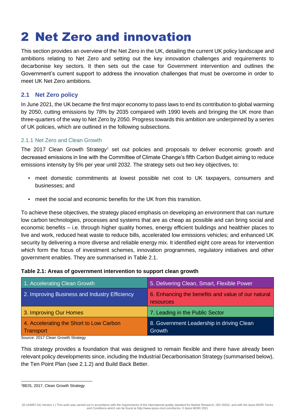### <span id="page-5-0"></span>2 Net Zero and innovation

This section provides an overview of the Net Zero in the UK, detailing the current UK policy landscape and ambitions relating to Net Zero and setting out the key innovation challenges and requirements to decarbonise key sectors. It then sets out the case for Government intervention and outlines the Government's current support to address the innovation challenges that must be overcome in order to meet UK Net Zero ambitions.

### <span id="page-5-1"></span>**2.1 Net Zero policy**

In June 2021, the UK became the first major economy to pass laws to end its contribution to global warming by 2050, cutting emissions by 78% by 2035 compared with 1990 levels and bringing the UK more than three-quarters of the way to Net Zero by 2050. Progress towards this ambition are underpinned by a series of UK policies, which are outlined in the following subsections.

### 2.1.1 Net Zero and Clean Growth

The 2017 Clean Growth Strategy<sup>1</sup> set out policies and proposals to deliver economic growth and decreased emissions in line with the Committee of Climate Change's fifth Carbon Budget aiming to reduce emissions intensity by 5% per year until 2032. The strategy sets out two key objectives, to:

- meet domestic commitments at lowest possible net cost to UK taxpayers, consumers and businesses; and
- meet the social and economic benefits for the UK from this transition.

To achieve these objectives, the strategy placed emphasis on developing an environment that can nurture low carbon technologies, processes and systems that are as cheap as possible and can bring social and economic benefits – i.e. through higher quality homes, energy efficient buildings and healthier places to live and work, reduced heat waste to reduce bills, accelerated low emissions vehicles; and enhanced UK security by delivering a more diverse and reliable energy mix. It identified eight core areas for intervention which form the focus of investment schemes, innovation programmes, regulatory initiatives and other government enables. They are summarised in Table 2.1.

### **Table 2.1: Areas of government intervention to support clean growth**

| 1. Accelerating Clean Growth                         | 5. Delivering Clean, Smart, Flexible Power                      |
|------------------------------------------------------|-----------------------------------------------------------------|
| 2. Improving Business and Industry Efficiency        | 6. Enhancing the benefits and value of our natural<br>resources |
| 3. Improving Our Homes                               | 7. Leading in the Public Sector                                 |
| 4. Accelerating the Short to Low Carbon<br>Transport | 8. Government Leadership in driving Clean<br><b>Growth</b>      |

Source: 2017 Clean Growth Strategy

This strategy provides a foundation that was designed to remain flexible and there have already been relevant policy developments since, including the Industrial Decarbonisation Strategy (summarised below), the Ten Point Plan (see 2.1.2) and Build Back Better.

<sup>1</sup>BEIS, 2017, Clean Growth Strategy

<sup>20-104897-01|</sup> Version 1 | This work was carried out in accordance with the requirements of the international quality standard for Market Research, ISO 20252, and with the Ipsos MORI Terms and Conditions which can be found at http://www.ipsos-mori.com/terms. © Ipsos MORI 2021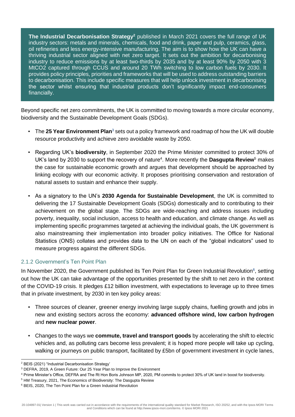**The Industrial Decarbonisation Strategy<sup>2</sup>** published in March 2021 covers the full range of UK industry sectors: metals and minerals, chemicals, food and drink, paper and pulp, ceramics, glass, oil refineries and less energy-intensive manufacturing. The aim is to show how the UK can have a thriving industrial sector aligned with net zero target. It sets out the ambition for decarbonising industry to reduce emissions by at least two-thirds by 2035 and by at least 90% by 2050 with 3 MtCO2 captured through CCUS and around 20 TWh switching to low carbon fuels by 2030. It provides policy principles, priorities and frameworks that will be used to address outstanding barriers to decarbonisation. This include specific measures that will help unlock investment in decarbonising the sector whilst ensuring that industrial products don't significantly impact end-consumers financially.

Beyond specific net zero commitments, the UK is committed to moving towards a more circular economy, biodiversity and the Sustainable Development Goals (SDGs).

- **The 25 Year Environment Plan**<sup>3</sup> sets out a policy framework and roadmap of how the UK will double resource productivity and achieve zero avoidable waste by 2050.
- Regarding UK's **biodiversity**, in September 2020 the Prime Minister committed to protect 30% of UK's land by 2030 to support the recovery of nature<sup>4</sup>. More recently the **Dasgupta Review**<sup>5</sup> makes the case for sustainable economic growth and argues that development should be approached by linking ecology with our economic activity. It proposes prioritising conservation and restoration of natural assets to sustain and enhance their supply.
- As a signatory to the UN's **2030 Agenda for Sustainable Development**, the UK is committed to delivering the 17 Sustainable Development Goals (SDGs) domestically and to contributing to their achievement on the global stage. The SDGs are wide-reaching and address issues including poverty, inequality, social inclusion, access to health and education, and climate change. As well as implementing specific programmes targeted at achieving the individual goals, the UK government is also mainstreaming their implementation into broader policy initiatives. The Office for National Statistics (ONS) collates and provides data to the UN on each of the "global indicators" used to measure progress against the different SDGs.

### 2.1.2 Government's Ten Point Plan

In November 2020, the Government published its Ten Point Plan for Green Industrial Revolution<sup>6</sup>, setting out how the UK can take advantage of the opportunities presented by the shift to net zero in the context of the COVID-19 crisis. It pledges £12 billion investment, with expectations to leverage up to three times that in private investment, by 2030 in ten key policy areas:

- Three sources of cleaner, greener energy involving large supply chains, fuelling growth and jobs in new and existing sectors across the economy: **advanced offshore wind, low carbon hydrogen** and **new nuclear power**.
- Changes to the ways we **commute, travel and transport goods** by accelerating the shift to electric vehicles and, as polluting cars become less prevalent; it is hoped more people will take up cycling, walking or journeys on public transport, facilitated by £5bn of government investment in cycle lanes,

<sup>2</sup> BEIS (2021) "Industrial Decarbonisation Strategy'

<sup>3</sup> DEFRA, 2019, A Green Future: Our 25 Year Plan to Improve the Environment

<sup>4</sup> Prime Minister's Office, DEFRA and The Rt Hon Boris Johnson MP, 2020, PM commits to protect 30% of UK land in boost for biodiversity.

<sup>5</sup> HM Treasury, 2021, The Economics of Biodiversity: The Dasgupta Review

<sup>6</sup> BEIS, 2020, The Ten Point Plan for a Green Industrial Revolution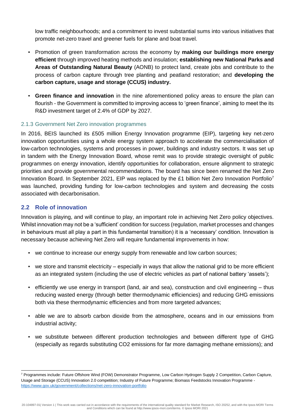low traffic neighbourhoods; and a commitment to invest substantial sums into various initiatives that promote net-zero travel and greener fuels for plane and boat travel.

- Promotion of green transformation across the economy by **making our buildings more energy efficient** through improved heating methods and insulation; **establishing new National Parks and Areas of Outstanding Natural Beauty** (AONB) to protect land, create jobs and contribute to the process of carbon capture through tree planting and peatland restoration; and **developing the carbon capture, usage and storage (CCUS) industry.**
- **Green finance and innovation** in the nine aforementioned policy areas to ensure the plan can flourish - the Government is committed to improving access to 'green finance', aiming to meet the its R&D investment target of 2.4% of GDP by 2027.

### 2.1.3 Government Net Zero innovation programmes

In 2016, BEIS launched its £505 million Energy Innovation programme (EIP), targeting key net-zero innovation opportunities using a whole energy system approach to accelerate the commercialisation of low-carbon technologies, systems and processes in power, buildings and industry sectors. It was set up in tandem with the Energy Innovation Board, whose remit was to provide strategic oversight of public programmes on energy innovation, identify opportunities for collaboration, ensure alignment to strategic priorities and provide governmental recommendations. The board has since been renamed the Net Zero Innovation Board. In September 2021, EIP was replaced by the £1 billion Net Zero Innovation Portfolio<sup>7</sup> was launched, providing funding for low-carbon technologies and system and decreasing the costs associated with decarbonisation.

### <span id="page-7-0"></span>**2.2 Role of innovation**

Innovation is playing, and will continue to play, an important role in achieving Net Zero policy objectives. Whilst innovation may not be a 'sufficient' condition for success (regulation, market processes and changes in behaviours must all play a part in this fundamental transition) it is a 'necessary' condition. Innovation is necessary because achieving Net Zero will require fundamental improvements in how:

- we continue to increase our energy supply from renewable and low carbon sources;
- we store and transmit electricity especially in ways that allow the national grid to be more efficient as an integrated system (including the use of electric vehicles as part of national battery 'assets');
- efficiently we use energy in transport (land, air and sea), construction and civil engineering thus reducing wasted energy (through better thermodynamic efficiencies) and reducing GHG emissions both via these thermodynamic efficiencies and from more targeted advances;
- able we are to absorb carbon dioxide from the atmosphere, oceans and in our emissions from industrial activity;
- we substitute between different production technologies and between different type of GHG (especially as regards substituting CO2 emissions for far more damaging methane emissions); and

<sup>7</sup> Programmes include: Future Offshore Wind (FOW) Demonstrator Programme, Low Carbon Hydrogen Supply 2 Competition, Carbon Capture, Usage and Storage (CCUS) Innovation 2.0 competition; Industry of Future Programme; Biomass Feedstocks Innovation Programme <https://www.gov.uk/government/collections/net-zero-innovation-portfolio>

<sup>20-104897-01|</sup> Version 1 | This work was carried out in accordance with the requirements of the international quality standard for Market Research, ISO 20252, and with the Ipsos MORI Terms and Conditions which can be found at http://www.ipsos-mori.com/terms. © Ipsos MORI 2021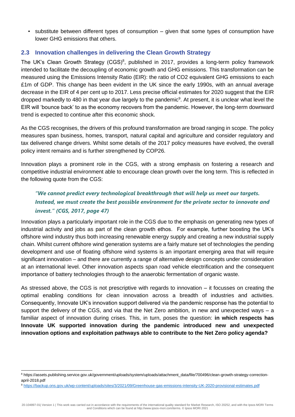▪ substitute between different types of consumption – given that some types of consumption have lower GHG emissions that others.

### <span id="page-8-0"></span>**2.3 Innovation challenges in delivering the Clean Growth Strategy**

The UK's Clean Growth Strategy (CGS)<sup>8</sup>, published in 2017, provides a long-term policy framework intended to facilitate the decoupling of economic growth and GHG emissions. This transformation can be measured using the Emissions Intensity Ratio (EIR): the ratio of CO2 equivalent GHG emissions to each £1m of GDP. This change has been evident in the UK since the early 1990s, with an annual average decrease in the EIR of 4 per cent up to 2017. Less precise official estimates for 2020 suggest that the EIR dropped markedly to 480 in that year due largely to the pandemic<sup>9</sup>. At present, it is unclear what level the EIR will 'bounce back' to as the economy recovers from the pandemic. However, the long-term downward trend is expected to continue after this economic shock.

As the CGS recognises, the drivers of this profound transformation are broad ranging in scope. The policy measures span business, homes, transport, natural capital and agriculture and consider regulatory and tax delivered change drivers. Whilst some details of the 2017 policy measures have evolved, the overall policy intent remains and is further strengthened by COP26.

Innovation plays a prominent role in the CGS, with a strong emphasis on fostering a research and competitive industrial environment able to encourage clean growth over the long term. This is reflected in the following quote from the CGS:

### *"We cannot predict every technological breakthrough that will help us meet our targets. Instead, we must create the best possible environment for the private sector to innovate and invest." (CGS, 2017, page 47)*

Innovation plays a particularly important role in the CGS due to the emphasis on generating new types of industrial activity and jobs as part of the clean growth ethos. For example, further boosting the UK's offshore wind industry thus both increasing renewable energy supply and creating a new industrial supply chain. Whilst current offshore wind generation systems are a fairly mature set of technologies the pending development and use of floating offshore wind systems is an important emerging area that will require significant innovation – and there are currently a range of alternative design concepts under consideration at an international level. Other innovation aspects span road vehicle electrification and the consequent importance of battery technologies through to the anaerobic fermentation of organic waste.

As stressed above, the CGS is not prescriptive with regards to innovation – it focusses on creating the optimal enabling conditions for clean innovation across a breadth of industries and activities. Consequently, Innovate UK's innovation support delivered via the pandemic response has the potential to support the delivery of the CGS, and via that the Net Zero ambition, in new and unexpected ways – a familiar aspect of innovation during crises. This, in turn, poses the question: **in which respects has Innovate UK supported innovation during the pandemic introduced new and unexpected innovation options and exploitation pathways able to contribute to the Net Zero policy agenda?**

<sup>8</sup> https://assets.publishing.service.gov.uk/government/uploads/system/uploads/attachment\_data/file/700496/clean-growth-strategy-correctionapril-2018.pdf

<sup>9</sup> <https://backup.ons.gov.uk/wp-content/uploads/sites/3/2021/09/Greenhouse-gas-emissions-intensity-UK-2020-provisional-estimates.pdf>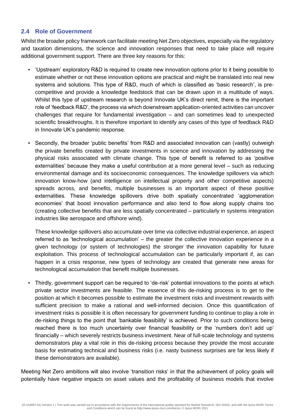### <span id="page-9-0"></span>**2.4 Role of Government**

Whilst the broader policy framework can facilitate meeting Net Zero objectives, especially via the regulatory and taxation dimensions, the science and innovation responses that need to take place will require additional government support. There are three key reasons for this:

- 'Upstream' exploratory R&D is required to create new innovation options prior to it being possible to estimate whether or not these innovation options are practical and might be translated into real new systems and solutions. This type of R&D, much of which is classified as 'basic research', is precompetitive and provide a knowledge feedstock that can be drawn upon in a multitude of ways. Whilst this type of upstream research is beyond Innovate UK's direct remit, there is the important role of 'feedback R&D', the process via which downstream application-oriented activities can uncover challenges that require for fundamental investigation – and can sometimes lead to unexpected scientific breakthroughs. It is therefore important to identify any cases of this type of feedback R&D in Innovate UK's pandemic response.
- Secondly, the broader 'public benefits' from R&D and associated innovation can (vastly) outweigh the private benefits created by private investments in science and innovation by addressing the physical risks associated with climate change. This type of benefit is referred to as 'positive externalities' because they make a useful contribution at a more general level – such as reducing environmental damage and its socioeconomic consequences. The knowledge spillovers via which innovation know-how (and intelligence on intellectual property and other competitive aspects) spreads across, and benefits, multiple businesses is an important aspect of these positive externalities. These knowledge spillovers drive both spatially concentrated 'agglomeration economies' that boost innovation performance and also tend to flow along supply chains too (creating collective benefits that are less spatially concentrated – particularly in systems integration industries like aerospace and offshore wind).

These knowledge spillovers also accumulate over time via collective industrial experience, an aspect referred to as 'technological accumulation' – the greater the collective innovation experience in a given technology (or system of technologies) the stronger the innovation capability for future exploitation. This process of technological accumulation can be particularly important if, as can happen in a crisis response, new types of technology are created that generate new areas for technological accumulation that benefit multiple businesses.

Thirdly, government support can be required to 'de-risk' potential innovations to the points at which private sector investments are feasible. The essence of this de-risking process is to get to the position at which it becomes possible to estimate the investment risks and investment rewards with sufficient precision to make a rational and well-informed decision. Once this quantification of investment risks is possible it is often necessary for government funding to continue to play a role in de-risking things to the point that 'bankable feasibility' is achieved. Prior to such conditions being reached there is too much uncertainty over financial feasibility or the 'numbers don't add up' financially – which severely restricts business investment. Near of full-scale technology and systems demonstrators play a vital role in this de-risking process because they provide the most accurate basis for estimating technical and business risks (i.e. nasty business surprises are far less likely if these demonstrators are available).

Meeting Net Zero ambitions will also involve 'transition risks' in that the achievement of policy goals will potentially have negative impacts on asset values and the profitability of business models that involve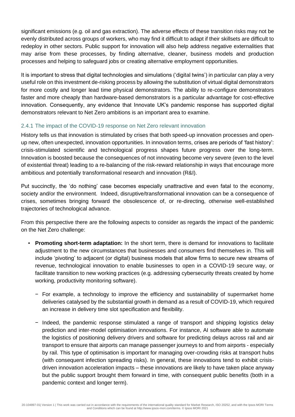significant emissions (e.g. oil and gas extraction). The adverse effects of these transition risks may not be evenly distributed across groups of workers, who may find it difficult to adapt if their skillsets are difficult to redeploy in other sectors. Public support for innovation will also help address negative externalities that may arise from these processes, by finding alternative, cleaner, business models and production processes and helping to safeguard jobs or creating alternative employment opportunities.

It is important to stress that digital technologies and simulations ('digital twins') in particular can play a very useful role on this investment de-risking process by allowing the substitution of virtual digital demonstrators for more costly and longer lead time physical demonstrators. The ability to re-configure demonstrators faster and more cheaply than hardware-based demonstrators is a particular advantage for cost-effective innovation. Consequently, any evidence that Innovate UK's pandemic response has supported digital demonstrators relevant to Net Zero ambitions is an important area to examine.

### 2.4.1 The impact of the COVID-19 response on Net Zero relevant innovation

History tells us that innovation is stimulated by crises that both speed-up innovation processes and openup new, often unexpected, innovation opportunities. In innovation terms, crises are periods of 'fast history': crisis-stimulated scientific and technological progress shapes future progress over the long-term. Innovation is boosted because the consequences of not innovating become very severe (even to the level of existential threat) leading to a re-balancing of the risk-reward relationship in ways that encourage more ambitious and potentially transformational research and innovation (R&I).

Put succinctly, the 'do nothing' case becomes especially unattractive and even fatal to the economy, society and/or the environment. Indeed, disruptive/transformational innovation can be a consequence of crises, sometimes bringing forward the obsolescence of, or re-directing, otherwise well-established trajectories of technological advance.

From this perspective there are the following aspects to consider as regards the impact of the pandemic on the Net Zero challenge:

- **Promoting short-term adaptation:** In the short term, there is demand for innovations to facilitate adjustment to the new circumstances that businesses and consumers find themselves in. This will include 'pivoting' to adjacent (or digital) business models that allow firms to secure new streams of revenue, technological innovation to enable businesses to open in a COVID-19 secure way, or facilitate transition to new working practices (e.g. addressing cybersecurity threats created by home working, productivity monitoring software).
	- − For example, a technology to improve the efficiency and sustainability of supermarket home deliveries catalysed by the substantial growth in demand as a result of COVID-19, which required an increase in delivery time slot specification and flexibility.
	- − Indeed, the pandemic response stimulated a range of transport and shipping logistics delay prediction and inter-model optimisation innovations. For instance, AI software able to automate the logistics of positioning delivery drivers and software for predicting delays across rail and air transport to ensure that airports can manage passenger journeys to and from airports - especially by rail. This type of optimisation is important for managing over-crowding risks at transport hubs (with consequent infection spreading risks). In general, these innovations tend to exhibit crisisdriven innovation acceleration impacts – these innovations are likely to have taken place anyway but the public support brought them forward in time, with consequent public benefits (both in a pandemic context and longer term).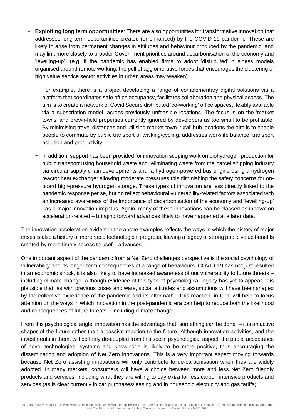- **Exploiting long term opportunities**: There are also opportunities for transformative innovation that addresses long-term opportunities created (or enhanced) by the COVID-19 pandemic. These are likely to arise from permanent changes in attitudes and behaviour produced by the pandemic, and may link more closely to broader Government priorities around decarbonisation of the economy and 'levelling-up'. (e.g. if the pandemic has enabled firms to adopt 'distributed' business models organised around remote working, the pull of agglomerative forces that encourages the clustering of high value service sector activities in urban areas may weaken).
	- − For example, there is a project developing a range of complementary digital solutions via a platform that coordinates safe office occupancy, facilitates collaboration and physical access. The aim is to create a network of Covid Secure distributed 'co-working' office spaces, flexibly available via a subscription model, across previously unfeasible locations. The focus is on the 'market towns' and brown-field properties currently ignored by developers as too small to be profitable. By minimising travel distances and utilising market town 'rural' hub locations the aim is to enable people to commute by public transport or walking/cycling. addresses work/life balance, transport pollution and productivity.
	- − In addition, support has been provided for innovation scoping work on biohydrogen production for public transport using household waste and eliminating waste from the parcel shipping industry via circular supply chain developments and; a hydrogen-powered bus engine using a hydrogen reactor heat exchanger allowing moderate pressures this diminishing the safety concerns for onboard high-pressure hydrogen storage. These types of innovation are less directly linked to the pandemic response per se, but do reflect behavioural vulnerability-related factors associated with an increased awareness of the importance of decarbonisation of the economy and 'levelling-up' –as a major innovation impetus. Again, many of these innovations can be classed as innovation acceleration-related – bringing forward advances likely to have happened at a later date.

The innovation acceleration evident in the above examples reflects the ways in which the history of major crises is also a history of more rapid technological progress, leaving a legacy of strong public value benefits created by more timely access to useful advances.

One important aspect of the pandemic from a Net Zero challenges perspective is the social psychology of vulnerability and its longer-term consequences of a range of behaviours. COVID-19 has not just resulted in an economic shock, it is also likely to have increased awareness of our vulnerability to future threats – including climate change. Although evidence of this type of psychological legacy has yet to appear, it is plausible that, as with previous crises and wars, social attitudes and assumptions will have been shaped by the collective experience of the pandemic and its aftermath. This reaction, in turn, will help to focus attention on the ways in which innovation in the post-pandemic era can help to reduce both the likelihood and consequences of future threats – including climate change.

From this psychological angle, innovation has the advantage that "something can be done" – it is an active shaper of the future rather than a passive reaction to the future. Although innovation activities, and the investments in them, will be fairly de-coupled from this social psychological aspect, the public acceptance of novel technologies, systems and knowledge is likely to be more positive, thus encouraging the dissemination and adoption of Net Zero innovations. This is a very important aspect moving forwards because Net Zero assisting innovations will only contribute to de-carbonisation when they are widely adopted. In many markets, consumers will have a choice between more and less Net Zero friendly products and services, including what they are willing to pay *extra* for less carbon intensive products and services (as is clear currently in car purchases/leasing and in household electricity and gas tariffs).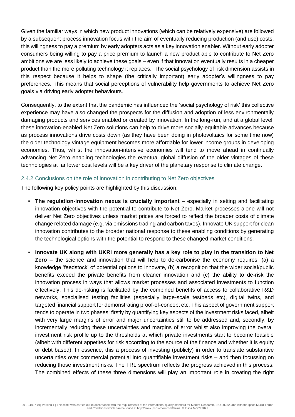Given the familiar ways in which new product innovations (which can be relatively expensive) are followed by a subsequent process innovation focus with the aim of eventually reducing production (and use) costs, this willingness to pay a premium by early adopters acts as a key innovation enabler. Without early adopter consumers being willing to pay a price premium to launch a new product able to contribute to Net Zero ambitions we are less likely to achieve these goals – even if that innovation eventually results in a cheaper product than the more polluting technology it replaces. The social psychology of risk dimension assists in this respect because it helps to shape (the critically important) early adopter's willingness to pay preferences. This means that social perceptions of vulnerability help governments to achieve Net Zero goals via driving early adopter behaviours.

Consequently, to the extent that the pandemic has influenced the 'social psychology of risk' this collective experience may have also changed the prospects for the diffusion and adoption of less environmentally damaging products and services enabled or created by innovation. In the long-run, and at a global level, these innovation-enabled Net Zero solutions can help to drive more socially-equitable advances because as process innovations drive costs down (as they have been doing in photovoltaics for some time now) the older technology vintage equipment becomes more affordable for lower income groups in developing economies. Thus, whilst the innovation-intensive economies will tend to move ahead in continually advancing Net Zero enabling technologies the eventual global diffusion of the older vintages of these technologies at far lower cost levels will be a key driver of the planetary response to climate change.

### 2.4.2 Conclusions on the role of innovation in contributing to Net Zero objectives

The following key policy points are highlighted by this discussion:

- **The regulation-innovation nexus is crucially important** especially in setting and facilitating innovation objectives with the potential to contribute to Net Zero. Market processes alone will not deliver Net Zero objectives unless market prices are forced to reflect the broader costs of climate change related damage (e.g. via emissions trading and carbon taxes). Innovate UK support for clean innovation contributes to the broader national response to these enabling conditions by generating the technological options with the potential to respond to these changed market conditions.
- **Innovate UK along with UKRI more generally has a key role to play in the transition to Net Zero** – the science and innovation that will help to de-carbonise the economy requires: (a) a knowledge 'feedstock' of potential options to innovate, (b) a recognition that the wider social/public benefits exceed the private benefits from cleaner innovation and (c) the ability to de-risk the innovation process in ways that allows market processes and associated investments to function effectively. This de-risking is facilitated by the combined benefits of access to collaborative R&D networks, specialised testing facilities (especially large-scale testbeds etc), digital twins, and targeted financial support for demonstrating proof-of-concept etc. This aspect of government support tends to operate in two phases: firstly by quantifying key aspects of the investment risks faced, albeit with very large margins of error and major uncertainties still to be addressed and, secondly, by incrementally reducing these uncertainties and margins of error whilst also improving the overall investment risk profile up to the thresholds at which private investments start to become feasible (albeit with different appetites for risk according to the source of the finance and whether it is equity or debt based). In essence, this a process of investing (publicly) in order to translate substantive uncertainties over commercial potential into quantifiable investment risks – and then focussing on reducing those investment risks. The TRL spectrum reflects the progress achieved in this process. The combined effects of these three dimensions will play an important role in creating the right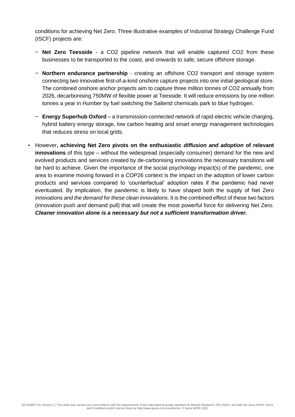conditions for achieving Net Zero. Three illustrative examples of Industrial Strategy Challenge Fund (ISCF) projects are:

- − **Net Zero Teesside** a CO2 pipeline network that will enable captured CO2 from these businesses to be transported to the coast, and onwards to safe, secure offshore storage.
- − **Northern endurance partnership** creating an offshore CO2 transport and storage system connecting two innovative first-of-a-kind onshore capture projects into one initial geological store. The combined onshore anchor projects aim to capture three million tonnes of CO2 annually from 2026, decarbonising 750MW of flexible power at Teesside. It will reduce emissions by one million tonnes a year in Humber by fuel switching the Saltend chemicals park to blue hydrogen.
- − **Energy Superhub Oxford** a transmission-connected network of rapid electric vehicle charging, hybrid battery energy storage, low carbon heating and smart energy management technologies that reduces stress on local grids.
- However**, achieving Net Zero pivots on the enthusiastic** *diffusion and adoption* **of relevant innovations** of this type – without the widespread (especially consumer) demand for the new and evolved products and services created by de-carbonising innovations the necessary transitions will be hard to achieve. Given the importance of the social psychology impact(s) of the pandemic, one area to examine moving forward in a COP26 context is the impact on the adoption of lower carbon products and services compared to 'counterfactual' adoption rates if the pandemic had never eventuated. By implication, the pandemic is likely to have shaped both the supply of Net Zero innovations *and the demand for these clean innovations*. It is the combined effect of these two factors (innovation push *and* demand pull) that will create the most powerful force for delivering Net Zero. *Cleaner innovation alone is a necessary but not a sufficient transformation driver.*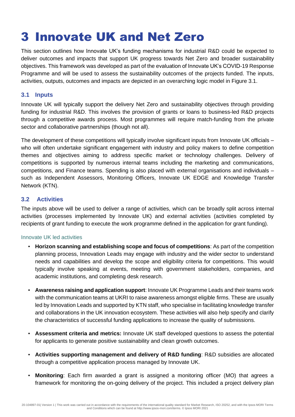### <span id="page-14-0"></span>3 Innovate UK and Net Zero

This section outlines how Innovate UK's funding mechanisms for industrial R&D could be expected to deliver outcomes and impacts that support UK progress towards Net Zero and broader sustainability objectives. This framework was developed as part of the evaluation of Innovate UK's COVID-19 Response Programme and will be used to assess the sustainability outcomes of the projects funded. The inputs, activities, outputs, outcomes and impacts are depicted in an overarching logic model in Figure 3.1.

### <span id="page-14-1"></span>**3.1 Inputs**

Innovate UK will typically support the delivery Net Zero and sustainability objectives through providing funding for industrial R&D. This involves the provision of grants or loans to business-led R&D projects through a competitive awards process. Most programmes will require match-funding from the private sector and collaborative partnerships (though not all).

The development of these competitions will typically involve significant inputs from Innovate UK officials – who will often undertake significant engagement with industry and policy makers to define competition themes and objectives aiming to address specific market or technology challenges. Delivery of competitions is supported by numerous internal teams including the marketing and communications, competitions, and Finance teams. Spending is also placed with external organisations and individuals – such as Independent Assessors, Monitoring Officers, Innovate UK EDGE and Knowledge Transfer Network (KTN).

### <span id="page-14-2"></span>**3.2 Activities**

The inputs above will be used to deliver a range of activities, which can be broadly split across internal activities (processes implemented by Innovate UK) and external activities (activities completed by recipients of grant funding to execute the work programme defined in the application for grant funding).

### <span id="page-14-3"></span>Innovate UK led activities

- **Horizon scanning and establishing scope and focus of competitions**: As part of the competition planning process, Innovation Leads may engage with industry and the wider sector to understand needs and capabilities and develop the scope and eligibility criteria for competitions. This would typically involve speaking at events, meeting with government stakeholders, companies, and academic institutions, and completing desk research.
- **Awareness raising and application support**: Innovate UK Programme Leads and their teams work with the communication teams at UKRI to raise awareness amongst eligible firms. These are usually led by Innovation Leads and supported by KTN staff, who specialise in facilitating knowledge transfer and collaborations in the UK innovation ecosystem. These activities will also help specify and clarify the characteristics of successful funding applications to increase the quality of submissions.
- **Assessment criteria and metrics:** Innovate UK staff developed questions to assess the potential for applicants to generate positive sustainability and clean growth outcomes.
- **Activities supporting management and delivery of R&D funding**: R&D subsidies are allocated through a competitive application process managed by Innovate UK.
- **Monitoring**: Each firm awarded a grant is assigned a monitoring officer (MO) that agrees a framework for monitoring the on-going delivery of the project. This included a project delivery plan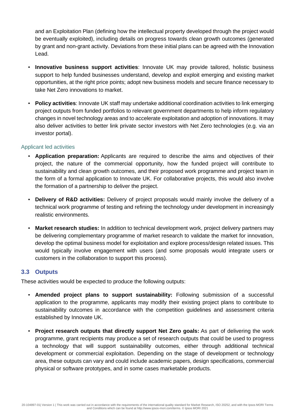and an Exploitation Plan (defining how the intellectual property developed through the project would be eventually exploited), including details on progress towards clean growth outcomes (generated by grant and non-grant activity. Deviations from these initial plans can be agreed with the Innovation Lead.

- **Innovative business support activities**: Innovate UK may provide tailored, holistic business support to help funded businesses understand, develop and exploit emerging and existing market opportunities, at the right price points; adopt new business models and secure finance necessary to take Net Zero innovations to market.
- **Policy activities**: Innovate UK staff may undertake additional coordination activities to link emerging project outputs from funded portfolios to relevant government departments to help inform regulatory changes in novel technology areas and to accelerate exploitation and adoption of innovations. It may also deliver activities to better link private sector investors with Net Zero technologies (e.g. via an investor portal).

### <span id="page-15-0"></span>Applicant led activities

- **Application preparation:** Applicants are required to describe the aims and objectives of their project, the nature of the commercial opportunity, how the funded project will contribute to sustainability and clean growth outcomes, and their proposed work programme and project team in the form of a formal application to Innovate UK. For collaborative projects, this would also involve the formation of a partnership to deliver the project.
- **Delivery of R&D activities:** Delivery of project proposals would mainly involve the delivery of a technical work programme of testing and refining the technology under development in increasingly realistic environments.
- **Market research studies:** In addition to technical development work, project delivery partners may be delivering complementary programme of market research to validate the market for innovation, develop the optimal business model for exploitation and explore process/design related issues. This would typically involve engagement with users (and some proposals would integrate users or customers in the collaboration to support this process).

### <span id="page-15-1"></span>**3.3 Outputs**

These activities would be expected to produce the following outputs:

- **Amended project plans to support sustainability:** Following submission of a successful application to the programme, applicants may modify their existing project plans to contribute to sustainability outcomes in accordance with the competition guidelines and assessment criteria established by Innovate UK.
- **Project research outputs that directly support Net Zero goals:** As part of delivering the work programme, grant recipients may produce a set of research outputs that could be used to progress a technology that will support sustainability outcomes, either through additional technical development or commercial exploitation. Depending on the stage of development or technology area, these outputs can vary and could include academic papers, design specifications, commercial physical or software prototypes, and in some cases marketable products.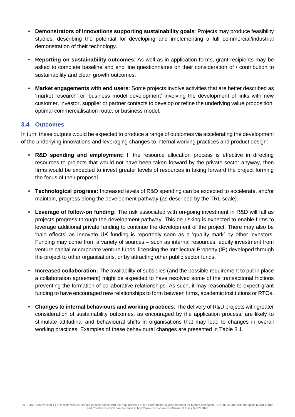- **Demonstrators of innovations supporting sustainability goals**: Projects may produce feasibility studies, describing the potential for developing and implementing a full commercial/industrial demonstration of their technology.
- **Reporting on sustainability outcomes**: As well as in application forms, grant recipients may be asked to complete baseline and end line questionnaires on their consideration of / contribution to sustainability and clean growth outcomes.
- **Market engagements with end users**: Some projects involve activities that are better described as 'market research' or 'business model development' involving the development of links with new customer, investor, supplier or partner contacts to develop or refine the underlying value proposition, optimal commercialisation route, or business model.

### <span id="page-16-0"></span>**3.4 Outcomes**

In turn, these outputs would be expected to produce a range of outcomes via accelerating the development of the underlying innovations and leveraging changes to internal working practices and product design:

- **R&D spending and employment:** If the resource allocation process is effective in directing resources to projects that would not have been taken forward by the private sector anyway, then firms would be expected to invest greater levels of resources in taking forward the project forming the focus of their proposal.
- **Technological progress:** Increased levels of R&D spending can be expected to accelerate, and/or maintain, progress along the development pathway (as described by the TRL scale).
- **Leverage of follow-on funding:** The risk associated with on-going investment in R&D will fall as projects progress through the development pathway. This de-risking is expected to enable firms to leverage additional private funding to continue the development of the project. There may also be 'halo effects' as Innovate UK funding is reportedly seen as a 'quality mark' by other investors. Funding may come from a variety of sources – such as internal resources, equity investment from venture capital or corporate venture funds, licensing the Intellectual Property (IP) developed through the project to other organisations, or by attracting other public sector funds.
- **Increased collaboration:** The availability of subsidies (and the possible requirement to put in place a collaboration agreement) might be expected to have resolved some of the transactional frictions preventing the formation of collaborative relationships. As such, it may reasonable to expect grant funding to have encouraged new relationships to form between firms, academic institutions or RTOs.
- **Changes to internal behaviours and working practices**: The delivery of R&D projects with greater consideration of sustainability outcomes, as encouraged by the application process, are likely to stimulate attitudinal and behavioural shifts in organisations that may lead to changes in overall working practices. Examples of these behavioural changes are presented in Table 3.1.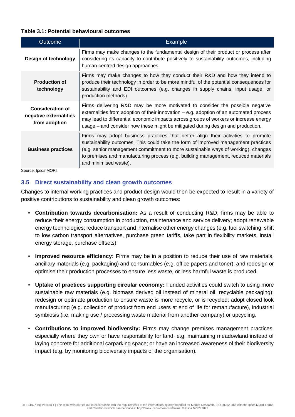### **Table 3.1: Potential behavioural outcomes**

| <b>Outcome</b>                                                     | <b>Example</b>                                                                                                                                                                                                                                                                                                                                                            |
|--------------------------------------------------------------------|---------------------------------------------------------------------------------------------------------------------------------------------------------------------------------------------------------------------------------------------------------------------------------------------------------------------------------------------------------------------------|
| Design of technology                                               | Firms may make changes to the fundamental design of their product or process after<br>considering its capacity to contribute positively to sustainability outcomes, including<br>human-centred design approaches.                                                                                                                                                         |
| <b>Production of</b><br>technology                                 | Firms may make changes to how they conduct their R&D and how they intend to<br>produce their technology in order to be more mindful of the potential consequences for<br>sustainability and EDI outcomes (e.g. changes in supply chains, input usage, or<br>production methods)                                                                                           |
| <b>Consideration of</b><br>negative externalities<br>from adoption | Firms delivering R&D may be more motivated to consider the possible negative<br>externalities from adoption of their innovation $-$ e.g. adoption of an automated process<br>may lead to differential economic impacts across groups of workers or increase energy<br>usage – and consider how these might be mitigated during design and production.                     |
| <b>Business practices</b>                                          | Firms may adopt business practices that better align their activities to promote<br>sustainability outcomes. This could take the form of improved management practices<br>(e.g. senior management commitment to more sustainable ways of working), changes<br>to premises and manufacturing process (e.g. building management, reduced materials<br>and minimised waste). |
|                                                                    |                                                                                                                                                                                                                                                                                                                                                                           |

Source: Ipsos MORI

### <span id="page-17-0"></span>**3.5 Direct sustainability and clean growth outcomes**

Changes to internal working practices and product design would then be expected to result in a variety of positive contributions to sustainability and clean growth outcomes:

- **Contribution towards decarbonisation:** As a result of conducting R&D, firms may be able to reduce their energy consumption in production, maintenance and service delivery; adopt renewable energy technologies; reduce transport and internalise other energy changes (e.g. fuel switching, shift to low carbon transport alternatives, purchase green tariffs, take part in flexibility markets, install energy storage, purchase offsets)
- **· Improved resource efficiency:** Firms may be in a position to reduce their use of raw materials, ancillary materials (e.g. packaging) and consumables (e.g. office papers and toner); and redesign or optimise their production processes to ensure less waste, or less harmful waste is produced.
- **Uptake of practices supporting circular economy:** Funded activities could switch to using more sustainable raw materials (e.g. biomass derived oil instead of mineral oil, recyclable packaging); redesign or optimate production to ensure waste is more recycle, or is recycled; adopt closed look manufacturing (e.g. collection of product from end users at end of life for remanufacture), industrial symbiosis (i.e. making use / processing waste material from another company) or upcycling.
- **Contributions to improved biodiversity:** Firms may change premises management practices, especially where they own or have responsibility for land, e.g. maintaining meadowland instead of laying concrete for additional carparking space; or have an increased awareness of their biodiversity impact (e.g. by monitoring biodiversity impacts of the organisation).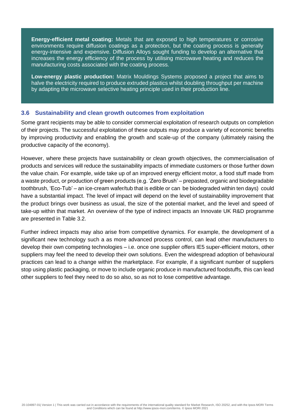**Energy-efficient metal coating:** Metals that are exposed to high temperatures or corrosive environments require diffusion coatings as a protection, but the coating process is generally energy-intensive and expensive. Diffusion Alloys sought funding to develop an alternative that increases the energy efficiency of the process by utilising microwave heating and reduces the manufacturing costs associated with the coating process.

**Low-energy plastic production:** Matrix Mouldings Systems proposed a project that aims to halve the electricity required to produce extruded plastics whilst doubling throughput per machine by adapting the microwave selective heating principle used in their production line.

### <span id="page-18-0"></span>**3.6 Sustainability and clean growth outcomes from exploitation**

Some grant recipients may be able to consider commercial exploitation of research outputs on completion of their projects. The successful exploitation of these outputs may produce a variety of economic benefits by improving productivity and enabling the growth and scale-up of the company (ultimately raising the productive capacity of the economy).

However, where these projects have sustainability or clean growth objectives, the commercialisation of products and services will reduce the sustainability impacts of immediate customers or those further down the value chain. For example, wide take up of an improved energy efficient motor, a food stuff made from a waste product, or production of green products (e.g. 'Zero Brush' – prepasted, organic and biodegradable toothbrush, 'Eco-Tub' – an ice-cream wafer/tub that is edible or can be biodegraded within ten days) could have a substantial impact. The level of impact will depend on the level of sustainability improvement that the product brings over business as usual, the size of the potential market, and the level and speed of take-up within that market. An overview of the type of indirect impacts an Innovate UK R&D programme are presented in Table 3.2.

Further indirect impacts may also arise from competitive dynamics. For example, the development of a significant new technology such a as more advanced process control, can lead other manufacturers to develop their own competing technologies – i.e. once one supplier offers IE5 super-efficient motors, other suppliers may feel the need to develop their own solutions. Even the widespread adoption of behavioural practices can lead to a change within the marketplace. For example, if a significant number of suppliers stop using plastic packaging, or move to include organic produce in manufactured foodstuffs, this can lead other suppliers to feel they need to do so also, so as not to lose competitive advantage.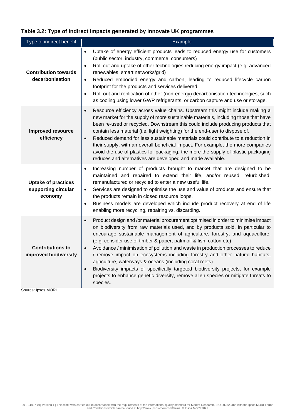### **Table 3.2: Type of indirect impacts generated by Innovate UK programmes**

| Type of indirect benefit                                                    | Example                                                                                                                                                                                                                                                                                                                                                                                                                                                                                                                                                                                                                                                                                                                                                                                |
|-----------------------------------------------------------------------------|----------------------------------------------------------------------------------------------------------------------------------------------------------------------------------------------------------------------------------------------------------------------------------------------------------------------------------------------------------------------------------------------------------------------------------------------------------------------------------------------------------------------------------------------------------------------------------------------------------------------------------------------------------------------------------------------------------------------------------------------------------------------------------------|
| <b>Contribution towards</b><br>decarbonisation                              | Uptake of energy efficient products leads to reduced energy use for customers<br>$\bullet$<br>(public sector, industry, commerce, consumers)<br>Roll out and uptake of other technologies reducing energy impact (e.g. advanced<br>$\bullet$<br>renewables, smart networks/grid)<br>Reduced embodied energy and carbon, leading to reduced lifecycle carbon<br>$\bullet$<br>footprint for the products and services delivered.<br>Roll-out and replication of other (non-energy) decarbonisation technologies, such<br>$\bullet$<br>as cooling using lower GWP refrigerants, or carbon capture and use or storage.                                                                                                                                                                     |
| <b>Improved resource</b><br>efficiency                                      | Resource efficiency across value chains. Upstream this might include making a<br>$\bullet$<br>new market for the supply of more sustainable materials, including those that have<br>been re-used or recycled. Downstream this could include producing products that<br>contain less material (i.e. light weighting) for the end-user to dispose of.<br>Reduced demand for less sustainable materials could contribute to a reduction in<br>$\bullet$<br>their supply, with an overall beneficial impact. For example, the more companies<br>avoid the use of plastics for packaging, the more the supply of plastic packaging<br>reduces and alternatives are developed and made available.                                                                                            |
| <b>Uptake of practices</b><br>supporting circular<br>economy                | Increasing number of products brought to market that are designed to be<br>$\bullet$<br>maintained and repaired to extend their life, and/or reused, refurbished,<br>remanufactured or recycled to enter a new useful life.<br>Services are designed to optimise the use and value of products and ensure that<br>$\bullet$<br>the products remain in closed resource loops.<br>Business models are developed which include product recovery at end of life<br>$\bullet$<br>enabling more recycling, repairing vs. discarding.                                                                                                                                                                                                                                                         |
| <b>Contributions to</b><br>improved biodiversity<br>التتمام المحمودات وحديد | Product design and /or material procurement optimised in order to minimise impact<br>$\bullet$<br>on biodiversity from raw materials used, and by products sold, in particular to<br>encourage sustainable management of agriculture, forestry, and aquaculture.<br>(e.g. consider use of timber & paper, palm oil & fish, cotton etc)<br>Avoidance / minimisation of pollution and waste in production processes to reduce<br>$\bullet$<br>/ remove impact on ecosystems including forestry and other natural habitats,<br>agriculture, waterways & oceans (including coral reefs)<br>Biodiversity impacts of specifically targeted biodiversity projects, for example<br>$\bullet$<br>projects to enhance genetic diversity, remove alien species or mitigate threats to<br>species. |

Source: Ipsos MORI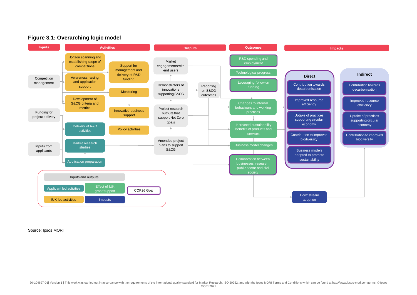



Source: Ipsos MORI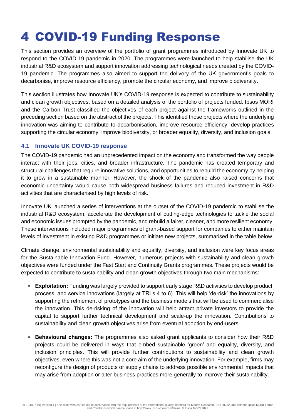## <span id="page-21-0"></span>4 COVID-19 Funding Response

This section provides an overview of the portfolio of grant programmes introduced by Innovate UK to respond to the COVID-19 pandemic in 2020. The programmes were launched to help stabilise the UK industrial R&D ecosystem and support innovation addressing technological needs created by the COVID-19 pandemic. The programmes also aimed to support the delivery of the UK government's goals to decarbonise, improve resource efficiency, promote the circular economy, and improve biodiversity.

This section illustrates how Innovate UK's COVID-19 response is expected to contribute to sustainability and clean growth objectives, based on a detailed analysis of the portfolio of projects funded. Ipsos MORI and the Carbon Trust classified the objectives of each project against the frameworks outlined in the preceding section based on the abstract of the projects. This identified those projects where the underlying innovation was aiming to contribute to decarbonisation, improve resource efficiency, develop practices supporting the circular economy, improve biodiversity, or broader equality, diversity, and inclusion goals.

### <span id="page-21-1"></span>**4.1 Innovate UK COVID-19 response**

The COVID-19 pandemic had an unprecedented impact on the economy and transformed the way people interact with their jobs, cities, and broader infrastructure. The pandemic has created temporary and structural challenges that require innovative solutions, and opportunities to rebuild the economy by helping it to grow in a sustainable manner. However, the shock of the pandemic also raised concerns that economic uncertainty would cause both widespread business failures and reduced investment in R&D activities that are characterised by high levels of risk.

Innovate UK launched a series of interventions at the outset of the COVID-19 pandemic to stabilise the industrial R&D ecosystem, accelerate the development of cutting-edge technologies to tackle the social and economic issues prompted by the pandemic, and rebuild a fairer, cleaner, and more resilient economy. These interventions included major programmes of grant-based support for companies to either maintain levels of investment in existing R&D programmes or initiate new projects, summarised in the table below.

Climate change, environmental sustainability and equality, diversity, and inclusion were key focus areas for the Sustainable Innovation Fund. However, numerous projects with sustainability and clean growth objectives were funded under the Fast Start and Continuity Grants programmes. These projects would be expected to contribute to sustainability and clean growth objectives through two main mechanisms:

- **Exploitation:** Funding was largely provided to support early stage R&D activities to develop product, process, and service innovations (largely at TRLs 4 to 6). This will help 'de-risk' the innovations by supporting the refinement of prototypes and the business models that will be used to commercialise the innovation. This de-risking of the innovation will help attract private investors to provide the capital to support further technical development and scale-up the innovation. Contributions to sustainability and clean growth objectives arise from eventual adoption by end-users.
- **Behavioural changes:** The programmes also asked grant applicants to consider how their R&D projects could be delivered in ways that embed sustainable 'green' and equality, diversity, and inclusion principles. This will provide further contributions to sustainability and clean growth objectives, even where this was not a core aim of the underlying innovation. For example, firms may reconfigure the design of products or supply chains to address possible environmental impacts that may arise from adoption or alter business practices more generally to improve their sustainability.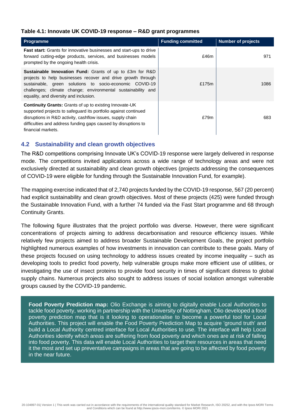#### **Table 4.1: Innovate UK COVID-19 response – R&D grant programmes**

| <b>Programme</b>                                                                                                                                                                                                                                                                                     | <b>Funding committed</b> | <b>Number of projects</b> |
|------------------------------------------------------------------------------------------------------------------------------------------------------------------------------------------------------------------------------------------------------------------------------------------------------|--------------------------|---------------------------|
| <b>Fast start:</b> Grants for innovative businesses and start-ups to drive<br>forward cutting-edge products, services, and businesses models<br>prompted by the ongoing health crisis.                                                                                                               | £46m                     | 971                       |
| <b>Sustainable Innovation Fund:</b> Grants of up to £3m for R&D<br>projects to help businesses recover and drive growth through<br>sustainable, green solutions to socio-economic COVID-19<br>challenges; climate change; environmental sustainability and<br>equality, and diversity and inclusion. | £175m                    | 1086                      |
| Continuity Grants: Grants of up to existing Innovate-UK<br>supported projects to safeguard its portfolio against continued<br>disruptions in R&D activity, cashflow issues, supply chain<br>difficulties and address funding gaps caused by disruptions to<br>financial markets.                     | £79m                     | 683                       |

### <span id="page-22-0"></span>**4.2 Sustainability and clean growth objectives**

The R&D competitions comprising Innovate UK's COVID-19 response were largely delivered in response mode. The competitions invited applications across a wide range of technology areas and were not exclusively directed at sustainability and clean growth objectives (projects addressing the consequences of COVID-19 were eligible for funding through the Sustainable Innovation Fund, for example).

The mapping exercise indicated that of 2,740 projects funded by the COVID-19 response, 567 (20 percent) had explicit sustainability and clean growth objectives. Most of these projects (425) were funded through the Sustainable Innovation Fund, with a further 74 funded via the Fast Start programme and 68 through Continuity Grants.

The following figure illustrates that the project portfolio was diverse. However, there were significant concentrations of projects aiming to address decarbonisation and resource efficiency issues. While relatively few projects aimed to address broader Sustainable Development Goals, the project portfolio highlighted numerous examples of how investments in innovation can contribute to these goals. Many of these projects focused on using technology to address issues created by income inequality – such as developing tools to predict food poverty, help vulnerable groups make more efficient use of utilities, or investigating the use of insect proteins to provide food security in times of significant distress to global supply chains. Numerous projects also sought to address issues of social isolation amongst vulnerable groups caused by the COVID-19 pandemic.

**Food Poverty Prediction map:** Olio Exchange is aiming to digitally enable Local Authorities to tackle food poverty, working in partnership with the University of Nottingham. Olio developed a food poverty prediction map that is it looking to operationalise to become a powerful tool for Local Authorities. This project will enable the Food Poverty Prediction Map to acquire 'ground truth' and build a Local Authority centred interface for Local Authorities to use. The interface will help Local Authorities identify which areas are suffering from food poverty and which ones are at risk of falling into food poverty. This data will enable Local Authorities to target their resources in areas that need it the most and set up preventative campaigns in areas that are going to be affected by food poverty in the near future.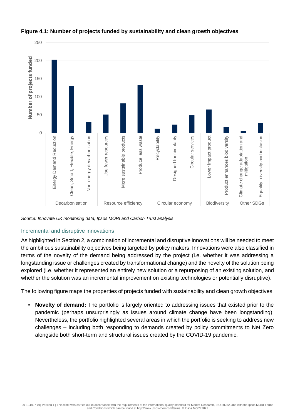

### **Figure 4.1: Number of projects funded by sustainability and clean growth objectives**

*Source: Innovate UK monitoring data, Ipsos MORI and Carbon Trust analysis*

### Incremental and disruptive innovations

As highlighted in Section 2, a combination of incremental and disruptive innovations will be needed to meet the ambitious sustainability objectives being targeted by policy makers. Innovations were also classified in terms of the novelty of the demand being addressed by the project (i.e. whether it was addressing a longstanding issue or challenges created by transformational change) and the novelty of the solution being explored (i.e. whether it represented an entirely new solution or a repurposing of an existing solution, and whether the solution was an incremental improvement on existing technologies or potentially disruptive).

The following figure maps the properties of projects funded with sustainability and clean growth objectives:

▪ **Novelty of demand:** The portfolio is largely oriented to addressing issues that existed prior to the pandemic (perhaps unsurprisingly as issues around climate change have been longstanding). Nevertheless, the portfolio highlighted several areas in which the portfolio is seeking to address new challenges – including both responding to demands created by policy commitments to Net Zero alongside both short-term and structural issues created by the COVID-19 pandemic.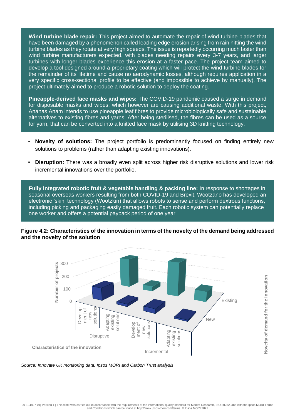**Wind turbine blade repair:** This project aimed to automate the repair of wind turbine blades that have been damaged by a phenomenon called leading edge erosion arising from rain hitting the wind turbine blades as they rotate at very high speeds. The issue is reportedly occurring much faster than wind turbine manufacturers expected, with blades needing repairs every 3-7 years, and larger turbines with longer blades experience this erosion at a faster pace. The project team aimed to develop a tool designed around a proprietary coating which will protect the wind turbine blades for the remainder of its lifetime and cause no aerodynamic losses, although requires application in a very specific cross-sectional profile to be effective (and impossible to achieve by manually). The project ultimately aimed to produce a robotic solution to deploy the coating.

**Pineapple-derived face masks and wipes:** The COVID-19 pandemic caused a surge in demand for disposable masks and wipes, which however are causing additional waste. With this project, Ananas Anam intends to use pineapple leaf fibres to provide microbiologically safe and sustainable alternatives to existing fibres and yarns. After being sterilised, the fibres can be used as a source for yarn, that can be converted into a knitted face mask by utilising 3D knitting technology.

- **Novelty of solutions:** The project portfolio is predominantly focused on finding entirely new solutions to problems (rather than adapting existing innovations).
- **Disruption:** There was a broadly even split across higher risk disruptive solutions and lower risk incremental innovations over the portfolio.

**Fully integrated robotic fruit & vegetable handling & packing line:** In response to shortages in seasonal overseas workers resulting from both COVID-19 and Brexit, Wootzano has developed an electronic 'skin' technology (Wootzkin) that allows robots to sense and perform dextrous functions, including picking and packaging easily damaged fruit. Each robotic system can potentially replace one worker and offers a potential payback period of one year.

**Figure 4.2: Characteristics of the innovation in terms of the novelty of the demand being addressed and the novelty of the solution**



**Novelty of demand for the innovation**

Novelty of demand for the innovation

*Source: Innovate UK monitoring data, Ipsos MORI and Carbon Trust analysis*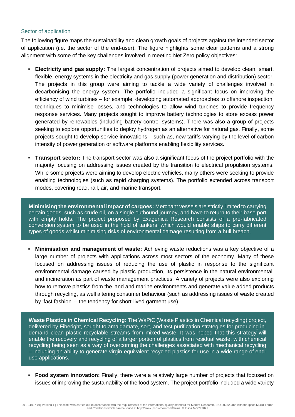#### Sector of application

The following figure maps the sustainability and clean growth goals of projects against the intended sector of application (i.e. the sector of the end-user). The figure highlights some clear patterns and a strong alignment with some of the key challenges involved in meeting Net Zero policy objectives:

- **Electricity and gas supply:** The largest concentration of projects aimed to develop clean, smart, flexible, energy systems in the electricity and gas supply (power generation and distribution) sector. The projects in this group were aiming to tackle a wide variety of challenges involved in decarbonising the energy system. The portfolio included a significant focus on improving the efficiency of wind turbines – for example, developing automated approaches to offshore inspection, techniques to minimise losses, and technologies to allow wind turbines to provide frequency response services. Many projects sought to improve battery technologies to store excess power generated by renewables (including battery control systems). There was also a group of projects seeking to explore opportunities to deploy hydrogen as an alternative for natural gas. Finally, some projects sought to develop service innovations – such as, new tariffs varying by the level of carbon intensity of power generation or software platforms enabling flexibility services.
- **Transport sector:** The transport sector was also a significant focus of the project portfolio with the majority focusing on addressing issues created by the transition to electrical propulsion systems. While some projects were aiming to develop electric vehicles, many others were seeking to provide enabling technologies (such as rapid charging systems). The portfolio extended across transport modes, covering road, rail, air, and marine transport.

**Minimising the environmental impact of cargoes:** Merchant vessels are strictly limited to carrying certain goods, such as crude oil, on a single outbound journey, and have to return to their base port with empty holds. The project proposed by Exagenica Research consists of a pre-fabricated conversion system to be used in the hold of tankers, which would enable ships to carry different types of goods whilst minimising risks of environmental damage resulting from a hull breach.

▪ **Minimisation and management of waste:** Achieving waste reductions was a key objective of a large number of projects with applications across most sectors of the economy. Many of these focused on addressing issues of reducing the use of plastic in response to the significant environmental damage caused by plastic production, its persistence in the natural environmental, and incineration as part of waste management practices. A variety of projects were also exploring how to remove plastics from the land and marine environments and generate value added products through recycling, as well altering consumer behaviour (such as addressing issues of waste created by 'fast fashion' – the tendency for short-lived garment use).

**Waste Plastics in Chemical Recycling:** The WaPiC (Waste Plastics in Chemical recycling) project, delivered by Fiberight, sought to amalgamate, sort, and test purification strategies for producing indemand clean plastic recyclable streams from mixed-waste. It was hoped that this strategy will enable the recovery and recycling of a larger portion of plastics from residual waste, with chemical recycling being seen as a way of overcoming the challenges associated with mechanical recycling – including an ability to generate virgin-equivalent recycled plastics for use in a wide range of enduse applications.

▪ **Food system innovation:** Finally, there were a relatively large number of projects that focused on issues of improving the sustainability of the food system. The project portfolio included a wide variety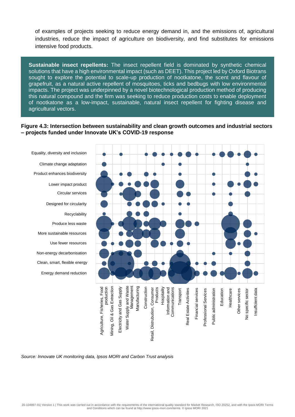of examples of projects seeking to reduce energy demand in, and the emissions of, agricultural industries, reduce the impact of agriculture on biodiversity, and find substitutes for emissions intensive food products.

**Sustainable insect repellents:** The insect repellent field is dominated by synthetic chemical solutions that have a high environmental impact (such as DEET). This project led by Oxford Biotrans sought to explore the potential to scale-up production of nootkatone, the scent and flavour of grapefruit, as a natural active repellent of mosquitoes, ticks and bedbugs with low environmental impacts. The project was underpinned by a novel biotechnological production method of producing this natural compound and the firm was seeking to reduce production costs to enable deployment of nootkatone as a low-impact, sustainable, natural insect repellent for fighting disease and agricultural vectors.

#### **Figure 4.3: Intersection between sustainability and clean growth outcomes and industrial sectors – projects funded under Innovate UK's COVID-19 response**





*Source: Innovate UK monitoring data, Ipsos MORI and Carbon Trust analysis*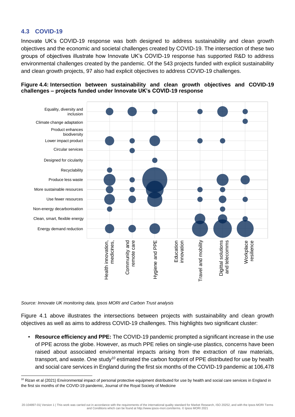### <span id="page-27-0"></span>**4.3 COVID-19**

Innovate UK's COVID-19 response was both designed to address sustainability and clean growth objectives and the economic and societal challenges created by COVID-19. The intersection of these two groups of objectives illustrate how Innovate UK's COVID-19 response has supported R&D to address environmental challenges created by the pandemic. Of the 543 projects funded with explicit sustainability and clean growth projects, 97 also had explicit objectives to address COVID-19 challenges.





*Source: Innovate UK monitoring data, Ipsos MORI and Carbon Trust analysis*

Figure 4.1 above illustrates the intersections between projects with sustainability and clean growth objectives as well as aims to address COVID-19 challenges. This highlights two significant cluster:

▪ **Resource efficiency and PPE:** The COVID-19 pandemic prompted a significant increase in the use of PPE across the globe. However, as much PPE relies on single-use plastics, concerns have been raised about associated environmental impacts arising from the extraction of raw materials, transport, and waste. One study<sup>10</sup> estimated the carbon footprint of PPE distributed for use by health and social care services in England during the first six months of the COVID-19 pandemic at 106,478

20-104897-01| Version 1 | This work was carried out in accordance with the requirements of the international quality standard for Market Research, ISO 20252, and with the Ipsos MORI Terms and Conditions which can be found at http://www.ipsos-mori.com/terms. © Ipsos MORI 2021

<sup>&</sup>lt;sup>10</sup> Rizan et al (2021) Environmental impact of personal protective equipment distributed for use by health and social care services in England in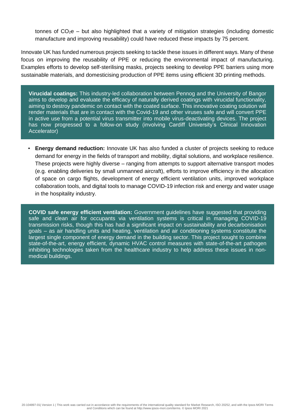tonnes of  $CO<sub>2</sub>e$  – but also highlighted that a variety of mitigation strategies (including domestic manufacture and improving reusability) could have reduced these impacts by 75 percent.

Innovate UK has funded numerous projects seeking to tackle these issues in different ways. Many of these focus on improving the reusability of PPE or reducing the environmental impact of manufacturing. Examples efforts to develop self-sterilising masks, projects seeking to develop PPE barriers using more sustainable materials, and domesticising production of PPE items using efficient 3D printing methods.

**Virucidal coatings:** This industry-led collaboration between Pennog and the University of Bangor aims to develop and evaluate the efficacy of naturally derived coatings with virucidal functionality, aiming to destroy pandemic on contact with the coated surface. This innovative coating solution will render materials that are in contact with the Covid-19 and other viruses safe and will convert PPE in active use from a potential virus transmitter into mobile virus-deactivating devices. The project has now progressed to a follow-on study (involving Cardiff University's Clinical Innovation Accelerator)

**Energy demand reduction:** Innovate UK has also funded a cluster of projects seeking to reduce demand for energy in the fields of transport and mobility, digital solutions, and workplace resilience. These projects were highly diverse – ranging from attempts to support alternative transport modes (e.g. enabling deliveries by small unmanned aircraft), efforts to improve efficiency in the allocation of space on cargo flights, development of energy efficient ventilation units, improved workplace collaboration tools, and digital tools to manage COVID-19 infection risk and energy and water usage in the hospitality industry.

**COVID safe energy efficient ventilation:** Government guidelines have suggested that providing safe and clean air for occupants via ventilation systems is critical in managing COVID-19 transmission risks, though this has had a significant impact on sustainability and decarbonisation goals – as air handling units and heating, ventilation and air conditioning systems constitute the largest single component of energy demand in the building sector. This project sought to combine state-of-the-art, energy efficient, dynamic HVAC control measures with state-of-the-art pathogen inhibiting technologies taken from the healthcare industry to help address these issues in nonmedical buildings.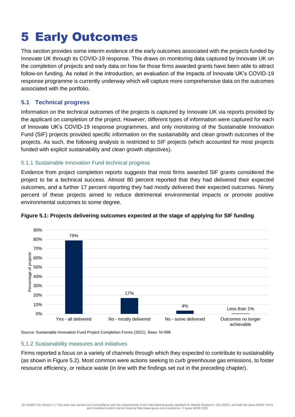## <span id="page-29-0"></span>5 Early Outcomes

This section provides some interim evidence of the early outcomes associated with the projects funded by Innovate UK through its COVID-19 response. This draws on monitoring data captured by Innovate UK on the completion of projects and early data on how far those firms awarded grants have been able to attract follow-on funding. As noted in the introduction, an evaluation of the impacts of Innovate UK's COVID-19 response programme is currently underway which will capture more comprehensive data on the outcomes associated with the portfolio.

### <span id="page-29-1"></span>**5.1 Technical progress**

Information on the technical outcomes of the projects is captured by Innovate UK via reports provided by the applicant on completion of the project. However, different types of information were captured for each of Innovate UK's COVID-19 response programmes, and only monitoring of the Sustainable Innovation Fund (SIF) projects provided specific information on the sustainability and clean growth outcomes of the projects. As such, the following analysis is restricted to SIF projects (which accounted for most projects funded with explicit sustainability and clean growth objectives).

### 5.1.1 Sustainable Innovation Fund technical progress

Evidence from project completion reports suggests that most firms awarded SIF grants considered the project to be a technical success. Almost 80 percent reported that they had delivered their expected outcomes, and a further 17 percent reporting they had mostly delivered their expected outcomes. Ninety percent of these projects aimed to reduce detrimental environmental impacts or promote positive environmental outcomes to some degree.



### **Figure 5.1: Projects delivering outcomes expected at the stage of applying for SIF funding**

Source: Sustainable Innovation Fund Project Completion Forms (2021). Base: N=996

### 5.1.2 Sustainability measures and initiatives

Firms reported a focus on a variety of channels through which they expected to contribute to sustainability (as shown in Figure 5.2). Most common were actions seeking to curb greenhouse gas emissions, to foster resource efficiency, or reduce waste (in line with the findings set out in the preceding chapter).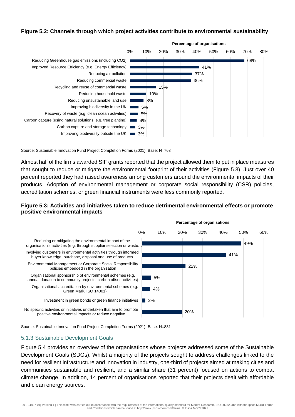#### **Figure 5.2: Channels through which project activities contribute to environmental sustainability**



Source: Sustainable Innovation Fund Project Completion Forms (2021). Base: N=763

Almost half of the firms awarded SIF grants reported that the project allowed them to put in place measures that sought to reduce or mitigate the environmental footprint of their activities (Figure 5.3). Just over 40 percent reported they had raised awareness among customers around the environmental impacts of their products. Adoption of environmental management or corporate social responsibility (CSR) policies, accreditation schemes, or green financial instruments were less commonly reported.

#### **Figure 5.3: Activities and initiatives taken to reduce detrimental environmental effects or promote positive environmental impacts**



Source: Sustainable Innovation Fund Project Completion Forms (2021). Base: N=881

#### 5.1.3 Sustainable Development Goals

Figure 5.4 provides an overview of the organisations whose projects addressed some of the Sustainable Development Goals (SDGs). Whilst a majority of the projects sought to address challenges linked to the need for resilient infrastructure and innovation in industry, one-third of projects aimed at making cities and communities sustainable and resilient, and a similar share (31 percent) focused on actions to combat climate change. In addition, 14 percent of organisations reported that their projects dealt with affordable and clean energy sources.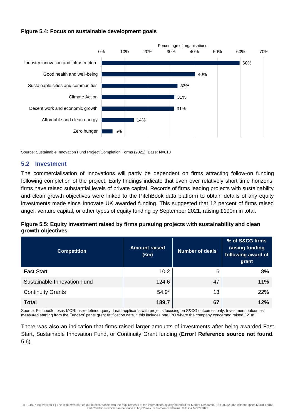### **Figure 5.4: Focus on sustainable development goals**



Source: Sustainable Innovation Fund Project Completion Forms (2021). Base: N=818

### <span id="page-31-0"></span>**5.2 Investment**

The commercialisation of innovations will partly be dependent on firms attracting follow-on funding following completion of the project. Early findings indicate that even over relatively short time horizons, firms have raised substantial levels of private capital. Records of firms leading projects with sustainability and clean growth objectives were linked to the PitchBook data platform to obtain details of any equity investments made since Innovate UK awarded funding. This suggested that 12 percent of firms raised angel, venture capital, or other types of equity funding by September 2021, raising £190m in total.

### **Figure 5.5: Equity investment raised by firms pursuing projects with sustainability and clean growth objectives**

| <b>Competition</b>          | <b>Amount raised</b><br>$(\text{Em})$ | <b>Number of deals</b> | % of S&CG firms<br>raising funding<br>following award of<br>grant |
|-----------------------------|---------------------------------------|------------------------|-------------------------------------------------------------------|
| <b>Fast Start</b>           | 10.2                                  | 6                      | 8%                                                                |
| Sustainable Innovation Fund | 124.6                                 | 47                     | 11%                                                               |
| <b>Continuity Grants</b>    | $54.9*$                               | 13                     | <b>22%</b>                                                        |
| <b>Total</b>                | 189.7                                 | 67                     | 12%                                                               |

Source: Pitchbook, Ipsos MORI user-defined query. Lead applicants with projects focusing on S&CG outcomes only. Investment outcomes measured starting from the Funders' panel grant ratification date. \* this includes one IPO where the company concerned raised £21m

There was also an indication that firms raised larger amounts of investments after being awarded Fast Start, Sustainable Innovation Fund, or Continuity Grant funding (**Error! Reference source not found.** 5.6).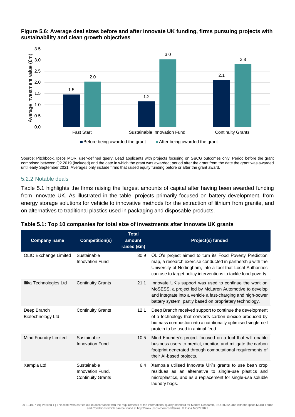

### **Figure 5.6: Average deal sizes before and after Innovate UK funding, firms pursuing projects with sustainability and clean growth objectives**

Source: Pitchbook, Ipsos MORI user-defined query. Lead applicants with projects focusing on S&CG outcomes only. Period before the grant comprised between Q2 2019 (included) and the date in which the grant was awarded; period after the grant from the date the grant was awarded until early September 2021. Averages only include firms that raised equity funding before or after the grant award.

### 5.2.2 Notable deals

Table 5.1 highlights the firms raising the largest amounts of capital after having been awarded funding from Innovate UK. As illustrated in the table, projects primarily focused on battery development, from energy storage solutions for vehicle to innovative methods for the extraction of lithium from granite, and on alternatives to traditional plastics used in packaging and disposable products.

| <b>Company name</b>              | <b>Competition(s)</b>                                       | <b>Total</b><br>amount<br>raised (£m) | Project(s) funded                                                                                                                                                                                                                                        |
|----------------------------------|-------------------------------------------------------------|---------------------------------------|----------------------------------------------------------------------------------------------------------------------------------------------------------------------------------------------------------------------------------------------------------|
| OLIO Exchange Limited            | Sustainable<br><b>Innovation Fund</b>                       | 30.9                                  | OLIO's project aimed to turn its Food Poverty Prediction<br>map, a research exercise conducted in partnership with the<br>University of Nottingham, into a tool that Local Authorities<br>can use to target policy interventions to tackle food poverty. |
| Ilika Technologies Ltd           | <b>Continuity Grants</b>                                    | 21.1                                  | Innovate UK's support was used to continue the work on<br>MoSESS, a project led by McLaren Automotive to develop<br>and integrate into a vehicle a fast-charging and high-power<br>battery system, partly based on proprietary technology.               |
| Deep Branch<br>Biotechnology Ltd | <b>Continuity Grants</b>                                    | 12.1                                  | Deep Branch received support to continue the development<br>of a technology that converts carbon dioxide produced by<br>biomass combustion into a nutritionally optimised single-cell<br>protein to be used in animal feed.                              |
| Mind Foundry Limited             | Sustainable<br><b>Innovation Fund</b>                       | 10.5                                  | Mind Foundry's project focused on a tool that will enable<br>business users to predict, monitor, and mitigate the carbon<br>footprint generated through computational requirements of<br>their Al-based projects.                                        |
| Xampla Ltd                       | Sustainable<br>Innovation Fund,<br><b>Continuity Grants</b> | 6.4                                   | Xampala utilised Innovate UK's grants to use bean crop<br>residues as an alternative to single-use plastics and<br>microplastics, and as a replacement for single-use soluble<br>laundry bags.                                                           |

| Table 5.1: Top 10 companies for total size of investments after Innovate UK grants |
|------------------------------------------------------------------------------------|
|------------------------------------------------------------------------------------|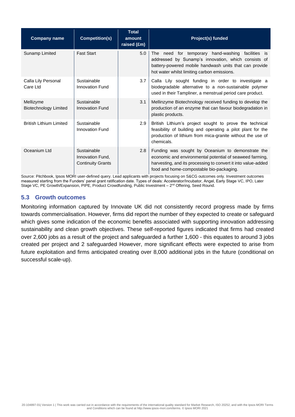| <b>Company name</b>                       | <b>Competition(s)</b>                                       | <b>Total</b><br>amount<br>raised (£m) | Project(s) funded                                                                                                                                                                                                          |
|-------------------------------------------|-------------------------------------------------------------|---------------------------------------|----------------------------------------------------------------------------------------------------------------------------------------------------------------------------------------------------------------------------|
| Sunamp Limited                            | <b>Fast Start</b>                                           | 5.0                                   | The need for temporary hand-washing facilities is<br>addressed by Sunamp's innovation, which consists of<br>battery-powered mobile handwash units that can provide<br>hot water whilst limiting carbon emissions.          |
| Calla Lily Personal<br>Care Ltd           | Sustainable<br><b>Innovation Fund</b>                       | 3.7                                   | Calla Lily sought funding in order to investigate a<br>biodegradable alternative to a non-sustainable polymer<br>used in their Tampliner, a menstrual period care product.                                                 |
| Mellizyme<br><b>Biotechnology Limited</b> | Sustainable<br><b>Innovation Fund</b>                       | 3.1                                   | Mellinzyme Biotechnology received funding to develop the<br>production of an enzyme that can favour biodegradation in<br>plastic products.                                                                                 |
| <b>British Lithium Limited</b>            | Sustainable<br><b>Innovation Fund</b>                       | 2.9                                   | British Lithium's project sought to prove the technical<br>feasibility of building and operating a pilot plant for the<br>production of lithium from mica-granite without the use of<br>chemicals.                         |
| Oceanium Ltd                              | Sustainable<br>Innovation Fund,<br><b>Continuity Grants</b> | 2.8                                   | Funding was sought by Oceanium to demonstrate the<br>economic and environmental potential of seaweed farming,<br>harvesting, and its processing to convert it into value-added<br>food and home-compostable bio-packaging. |

Source: Pitchbook, Ipsos MORI user-defined query. Lead applicants with projects focusing on S&CG outcomes only. Investment outcomes measured starting from the Funders' panel grant ratification date. Types of deals: Accelerator/Incubator, Angel, Early Stage VC, IPO, Later Stage VC, PE Growth/Expansion, PIPE, Product Crowdfunding, Public Investment – 2<sup>nd</sup> Offering, Seed Round.

### <span id="page-33-0"></span>**5.3 Growth outcomes**

Monitoring information captured by Innovate UK did not consistently record progress made by firms towards commercialisation. However, firms did report the number of they expected to create or safeguard which gives some indication of the economic benefits associated with supporting innovation addressing sustainability and clean growth objectives. These self-reported figures indicated that firms had created over 2,600 jobs as a result of the project and safeguarded a further 1,600 - this equates to around 3 jobs created per project and 2 safeguarded However, more significant effects were expected to arise from future exploitation and firms anticipated creating over 8,000 additional jobs in the future (conditional on successful scale-up).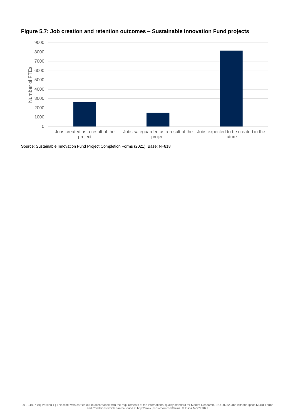

### **Figure 5.7: Job creation and retention outcomes – Sustainable Innovation Fund projects**

Source: Sustainable Innovation Fund Project Completion Forms (2021). Base: N=818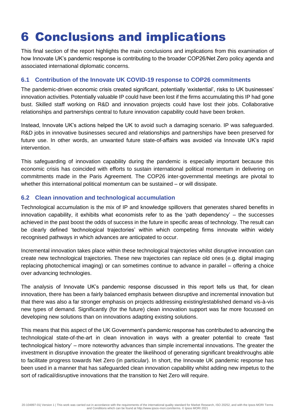### <span id="page-35-0"></span>6 Conclusions and implications

This final section of the report highlights the main conclusions and implications from this examination of how Innovate UK's pandemic response is contributing to the broader COP26/Net Zero policy agenda and associated international diplomatic concerns.

### <span id="page-35-1"></span>**6.1 Contribution of the Innovate UK COVID-19 response to COP26 commitments**

The pandemic-driven economic crisis created significant, potentially 'existential', risks to UK businesses' innovation activities. Potentially valuable IP could have been lost if the firms accumulating this IP had gone bust. Skilled staff working on R&D and innovation projects could have lost their jobs. Collaborative relationships and partnerships central to future innovation capability could have been broken.

Instead, Innovate UK's actions helped the UK to avoid such a damaging scenario. IP was safeguarded. R&D jobs in innovative businesses secured and relationships and partnerships have been preserved for future use. In other words, an unwanted future state-of-affairs was avoided via Innovate UK's rapid intervention.

This safeguarding of innovation capability during the pandemic is especially important because this economic crisis has coincided with efforts to sustain international political momentum in delivering on commitments made in the Paris Agreement. The COP26 inter-governmental meetings are pivotal to whether this international political momentum can be sustained – or will dissipate.

### <span id="page-35-2"></span>**6.2 Clean innovation and technological accumulation**

Technological accumulation is the mix of IP and knowledge spillovers that generates shared benefits in innovation capability, it exhibits what economists refer to as the 'path dependency' – the successes achieved in the past boost the odds of success in the future in specific areas of technology. The result can be clearly defined 'technological trajectories' within which competing firms innovate within widely recognised pathways in which advances are anticipated to occur.

Incremental innovation takes place within these technological trajectories whilst disruptive innovation can create new technological trajectories. These new trajectories can replace old ones (e.g. digital imaging replacing photochemical imaging) or can sometimes continue to advance in parallel – offering a choice over advancing technologies.

The analysis of Innovate UK's pandemic response discussed in this report tells us that, for clean innovation, there has been a fairly balanced emphasis between disruptive and incremental innovation but that there was also a far stronger emphasis on projects addressing existing/established demand vis-à-vis new types of demand. Significantly (for the future) clean innovation support was far more focussed on developing new solutions than on innovations adapting existing solutions.

This means that this aspect of the UK Government's pandemic response has contributed to advancing the technological state-of-the-art in clean innovation in ways with a greater potential to create 'fast technological history' – more noteworthy advances than simple incremental innovations. The greater the investment in disruptive innovation the greater the likelihood of generating significant breakthroughs able to facilitate progress towards Net Zero (in particular). In short, the Innovate UK pandemic response has been used in a manner that has safeguarded clean innovation capability whilst adding new impetus to the sort of radical/disruptive innovations that the transition to Net Zero will require.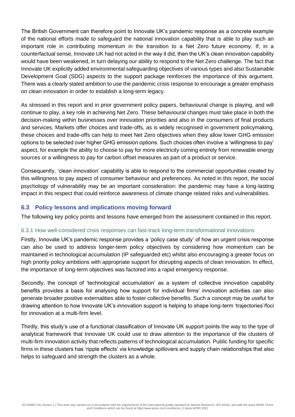The British Government can therefore point to Innovate UK's pandemic response as a concrete example of the national efforts made to safeguard the national innovation capability that is able to play such an important role in contributing momentum in the transition to a Net Zero future economy. If, in a counterfactual sense, Innovate UK had not acted in the way it did, then the UK's clean innovation capability would have been weakened, in turn delaying our ability to respond to the Net Zero challenge. The fact that Innovate UK explicitly added environmental safeguarding objectives of various types and also Sustainable Development Goal (SDG) aspects to the support package reinforces the importance of this argument. There was a clearly stated ambition to use the pandemic crisis response to encourage a greater emphasis on clean innovation in order to establish a long-term legacy.

As stressed in this report and in prior government policy papers, behavioural change is playing, and will continue to play, a key role in achieving Net Zero. These behavioural changes must take place in both the decision-making within businesses over innovation priorities and also in the consumers of final products and services. Markets offer choices and trade-offs, as is widely recognised in government policymaking, these choices and trade-offs can help to meet Net Zero objectives when they allow lower GHG emission options to be selected over higher GHG emission options. Such choices often involve a 'willingness to pay' aspect, for example the ability to choose to pay for more electricity coming entirely from renewable energy sources or a willingness to pay for carbon offset measures as part of a product or service.

Consequently, 'clean innovation' capability is able to respond to the commercial opportunities created by this willingness to pay aspect of consumer behaviour and preferences. As noted in this report, the social psychology of vulnerability may be an important consideration: the pandemic may have a long-lasting impact in this respect that could reinforce awareness of climate change related risks and vulnerabilities.

### <span id="page-36-0"></span>**6.3 Policy lessons and implications moving forward**

The following key policy points and lessons have emerged from the assessment contained in this report.

### 6.3.1 How well-considered crisis responses can fast-track long-term transformational innovations

Firstly, Innovate UK's pandemic response provides a 'policy case study' of how an urgent crisis response can also be used to address longer-term policy objectives by considering how momentum can be maintained in technological accumulation (IP safeguarded etc) whilst also encouraging a greater focus on high priority policy ambitions with appropriate support for disrupting aspects of clean innovation. In effect, the importance of long-term objectives was factored into a rapid emergency response.

Secondly, the concept of 'technological accumulation' as a system of collective innovation capability benefits provides a basis for analysing how support for individual firms' innovation activities can also generate broader positive externalities able to foster collective benefits. Such a concept may be useful for drawing attention to how Innovate UK's innovation support is helping to shape long-term 'trajectories'/foci for innovation at a multi-firm level.

Thirdly, this study's use of a functional classification of Innovate UK support points the way to the type of analytical framework that Innovate UK could use to draw attention to the importance of the clusters of multi-firm innovation activity that reflects patterns of technological accumulation. Public funding for specific firms in these clusters has 'ripple effects' via knowledge spillovers and supply chain relationships that also helps to safeguard and strength the clusters as a whole.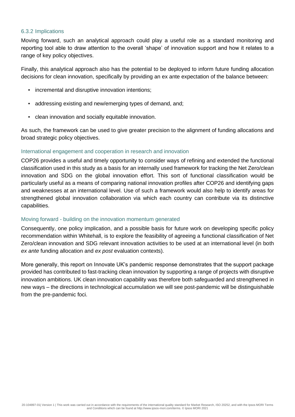#### 6.3.2 Implications

Moving forward, such an analytical approach could play a useful role as a standard monitoring and reporting tool able to draw attention to the overall 'shape' of innovation support and how it relates to a range of key policy objectives.

Finally, this analytical approach also has the potential to be deployed to inform future funding allocation decisions for clean innovation, specifically by providing an ex ante expectation of the balance between:

- incremental and disruptive innovation intentions;
- addressing existing and new/emerging types of demand, and;
- clean innovation and socially equitable innovation.

As such, the framework can be used to give greater precision to the alignment of funding allocations and broad strategic policy objectives.

### International engagement and cooperation in research and innovation

COP26 provides a useful and timely opportunity to consider ways of refining and extended the functional classification used in this study as a basis for an internally used framework for tracking the Net Zero/clean innovation and SDG on the global innovation effort. This sort of functional classification would be particularly useful as a means of comparing national innovation profiles after COP26 and identifying gaps and weaknesses at an international level. Use of such a framework would also help to identify areas for strengthened global innovation collaboration via which each country can contribute via its distinctive capabilities.

### Moving forward - building on the innovation momentum generated

Consequently, one policy implication, and a possible basis for future work on developing specific policy recommendation within Whitehall, is to explore the feasibility of agreeing a functional classification of Net Zero/clean innovation and SDG relevant innovation activities to be used at an international level (in both *ex ante* funding allocation and *ex post* evaluation contexts).

More generally, this report on Innovate UK's pandemic response demonstrates that the support package provided has contributed to fast-tracking clean innovation by supporting a range of projects with disruptive innovation ambitions. UK clean innovation capability was therefore both safeguarded and strengthened in new ways – the directions in technological accumulation we will see post-pandemic will be distinguishable from the pre-pandemic foci.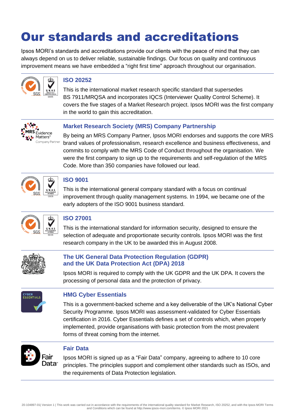### Our standards and accreditations

Ipsos MORI's standards and accreditations provide our clients with the peace of mind that they can always depend on us to deliver reliable, sustainable findings. Our focus on quality and continuous improvement means we have embedded a "right first time" approach throughout our organisation.



### **ISO 20252**

This is the international market research specific standard that supersedes BS 7911/MRQSA and incorporates IQCS (Interviewer Quality Control Scheme). It covers the five stages of a Market Research project. Ipsos MORI was the first company in the world to gain this accreditation.



### **Market Research Society (MRS) Company Partnership**

By being an MRS Company Partner, Ipsos MORI endorses and supports the core MRS brand values of professionalism, research excellence and business effectiveness, and commits to comply with the MRS Code of Conduct throughout the organisation. We were the first company to sign up to the requirements and self-regulation of the MRS Code. More than 350 companies have followed our lead.



### **ISO 9001**

This is the international general company standard with a focus on continual improvement through quality management systems. In 1994, we became one of the early adopters of the ISO 9001 business standard.



### **ISO 27001**

This is the international standard for information security, designed to ensure the selection of adequate and proportionate security controls. Ipsos MORI was the first research company in the UK to be awarded this in August 2008.



### **The UK General Data Protection Regulation (GDPR) and the UK Data Protection Act (DPA) 2018**

Ipsos MORI is required to comply with the UK GDPR and the UK DPA. It covers the processing of personal data and the protection of privacy.



### **HMG Cyber Essentials**

This is a government-backed scheme and a key deliverable of the UK's National Cyber Security Programme. Ipsos MORI was assessment-validated for Cyber Essentials certification in 2016. Cyber Essentials defines a set of controls which, when properly implemented, provide organisations with basic protection from the most prevalent forms of threat coming from the internet.



### **Fair Data**

Ipsos MORI is signed up as a "Fair Data" company, agreeing to adhere to 10 core principles. The principles support and complement other standards such as ISOs, and the requirements of Data Protection legislation.